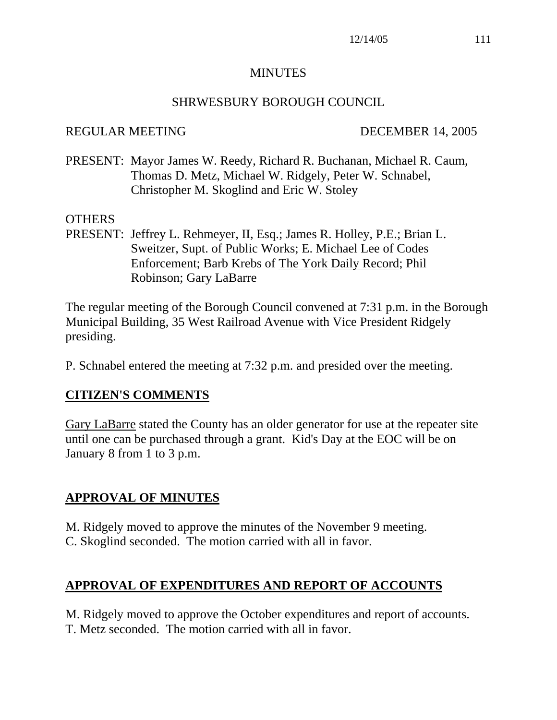#### MINUTES

#### SHRWESBURY BOROUGH COUNCIL

#### REGULAR MEETING DECEMBER 14, 2005

PRESENT: Mayor James W. Reedy, Richard R. Buchanan, Michael R. Caum, Thomas D. Metz, Michael W. Ridgely, Peter W. Schnabel, Christopher M. Skoglind and Eric W. Stoley

#### OTHERS

PRESENT: Jeffrey L. Rehmeyer, II, Esq.; James R. Holley, P.E.; Brian L. Sweitzer, Supt. of Public Works; E. Michael Lee of Codes Enforcement; Barb Krebs of The York Daily Record; Phil Robinson; Gary LaBarre

The regular meeting of the Borough Council convened at 7:31 p.m. in the Borough Municipal Building, 35 West Railroad Avenue with Vice President Ridgely presiding.

P. Schnabel entered the meeting at 7:32 p.m. and presided over the meeting.

## **CITIZEN'S COMMENTS**

Gary LaBarre stated the County has an older generator for use at the repeater site until one can be purchased through a grant. Kid's Day at the EOC will be on January 8 from 1 to 3 p.m.

## **APPROVAL OF MINUTES**

M. Ridgely moved to approve the minutes of the November 9 meeting. C. Skoglind seconded. The motion carried with all in favor.

# **APPROVAL OF EXPENDITURES AND REPORT OF ACCOUNTS**

M. Ridgely moved to approve the October expenditures and report of accounts. T. Metz seconded. The motion carried with all in favor.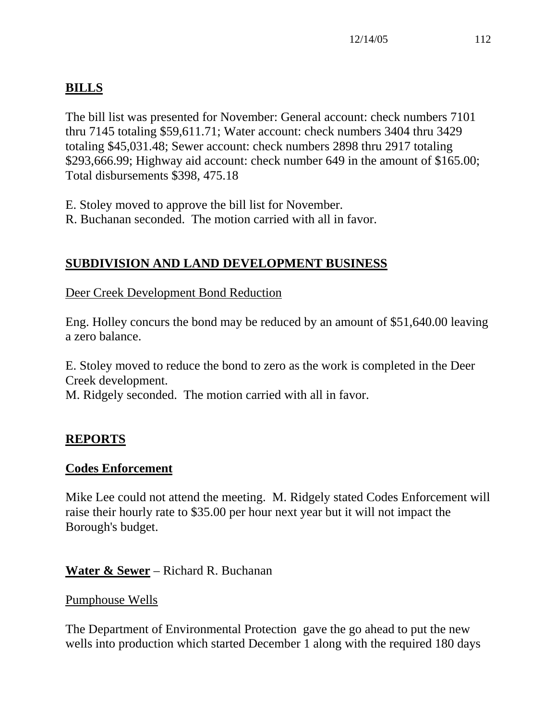# **BILLS**

The bill list was presented for November: General account: check numbers 7101 thru 7145 totaling \$59,611.71; Water account: check numbers 3404 thru 3429 totaling \$45,031.48; Sewer account: check numbers 2898 thru 2917 totaling \$293,666.99; Highway aid account: check number 649 in the amount of \$165.00; Total disbursements \$398, 475.18

E. Stoley moved to approve the bill list for November. R. Buchanan seconded. The motion carried with all in favor.

# **SUBDIVISION AND LAND DEVELOPMENT BUSINESS**

## Deer Creek Development Bond Reduction

Eng. Holley concurs the bond may be reduced by an amount of \$51,640.00 leaving a zero balance.

E. Stoley moved to reduce the bond to zero as the work is completed in the Deer Creek development.

M. Ridgely seconded. The motion carried with all in favor.

# **REPORTS**

## **Codes Enforcement**

Mike Lee could not attend the meeting. M. Ridgely stated Codes Enforcement will raise their hourly rate to \$35.00 per hour next year but it will not impact the Borough's budget.

**Water & Sewer** – Richard R. Buchanan

#### Pumphouse Wells

The Department of Environmental Protection gave the go ahead to put the new wells into production which started December 1 along with the required 180 days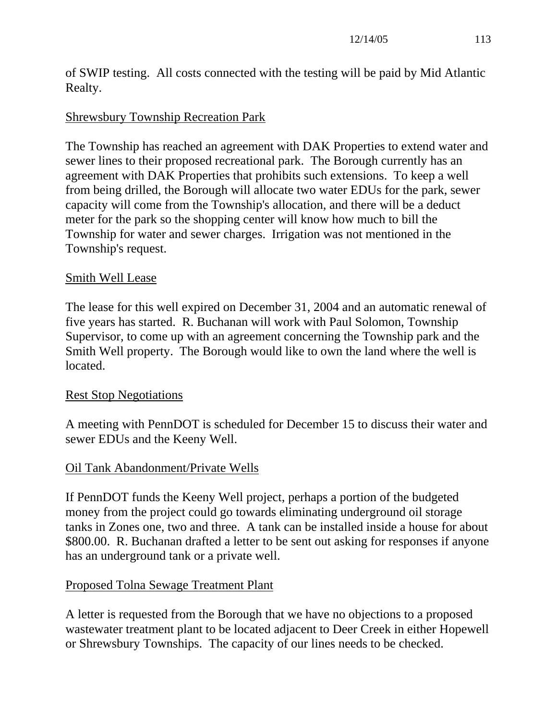of SWIP testing. All costs connected with the testing will be paid by Mid Atlantic Realty.

## Shrewsbury Township Recreation Park

The Township has reached an agreement with DAK Properties to extend water and sewer lines to their proposed recreational park. The Borough currently has an agreement with DAK Properties that prohibits such extensions. To keep a well from being drilled, the Borough will allocate two water EDUs for the park, sewer capacity will come from the Township's allocation, and there will be a deduct meter for the park so the shopping center will know how much to bill the Township for water and sewer charges. Irrigation was not mentioned in the Township's request.

## Smith Well Lease

The lease for this well expired on December 31, 2004 and an automatic renewal of five years has started. R. Buchanan will work with Paul Solomon, Township Supervisor, to come up with an agreement concerning the Township park and the Smith Well property. The Borough would like to own the land where the well is located.

## Rest Stop Negotiations

A meeting with PennDOT is scheduled for December 15 to discuss their water and sewer EDUs and the Keeny Well.

## Oil Tank Abandonment/Private Wells

If PennDOT funds the Keeny Well project, perhaps a portion of the budgeted money from the project could go towards eliminating underground oil storage tanks in Zones one, two and three. A tank can be installed inside a house for about \$800.00. R. Buchanan drafted a letter to be sent out asking for responses if anyone has an underground tank or a private well.

## Proposed Tolna Sewage Treatment Plant

A letter is requested from the Borough that we have no objections to a proposed wastewater treatment plant to be located adjacent to Deer Creek in either Hopewell or Shrewsbury Townships. The capacity of our lines needs to be checked.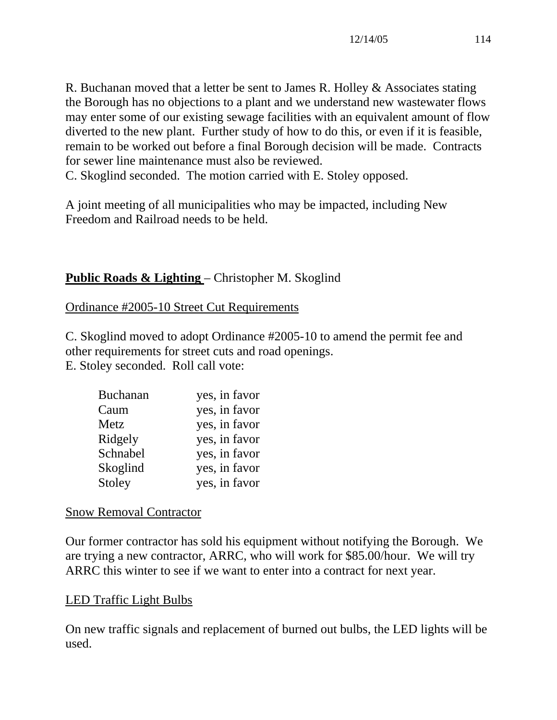R. Buchanan moved that a letter be sent to James R. Holley & Associates stating the Borough has no objections to a plant and we understand new wastewater flows may enter some of our existing sewage facilities with an equivalent amount of flow diverted to the new plant. Further study of how to do this, or even if it is feasible, remain to be worked out before a final Borough decision will be made. Contracts for sewer line maintenance must also be reviewed.

C. Skoglind seconded. The motion carried with E. Stoley opposed.

A joint meeting of all municipalities who may be impacted, including New Freedom and Railroad needs to be held.

## **Public Roads & Lighting** – Christopher M. Skoglind

Ordinance #2005-10 Street Cut Requirements

C. Skoglind moved to adopt Ordinance #2005-10 to amend the permit fee and other requirements for street cuts and road openings. E. Stoley seconded. Roll call vote:

| <b>Buchanan</b> | yes, in favor |
|-----------------|---------------|
| Caum            | yes, in favor |
| Metz            | yes, in favor |
| Ridgely         | yes, in favor |
| Schnabel        | yes, in favor |
| Skoglind        | yes, in favor |
| Stoley          | yes, in favor |

#### Snow Removal Contractor

Our former contractor has sold his equipment without notifying the Borough. We are trying a new contractor, ARRC, who will work for \$85.00/hour. We will try ARRC this winter to see if we want to enter into a contract for next year.

## LED Traffic Light Bulbs

On new traffic signals and replacement of burned out bulbs, the LED lights will be used.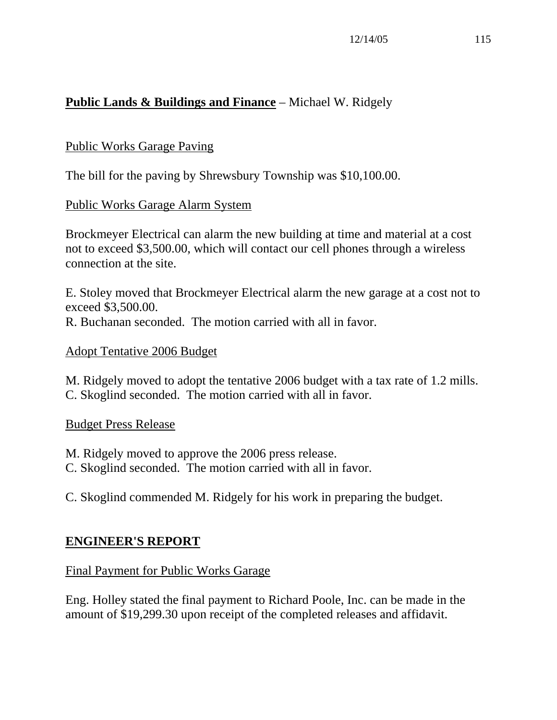# **Public Lands & Buildings and Finance** – Michael W. Ridgely

## Public Works Garage Paving

The bill for the paving by Shrewsbury Township was \$10,100.00.

## Public Works Garage Alarm System

Brockmeyer Electrical can alarm the new building at time and material at a cost not to exceed \$3,500.00, which will contact our cell phones through a wireless connection at the site.

E. Stoley moved that Brockmeyer Electrical alarm the new garage at a cost not to exceed \$3,500.00. R. Buchanan seconded. The motion carried with all in favor.

## Adopt Tentative 2006 Budget

M. Ridgely moved to adopt the tentative 2006 budget with a tax rate of 1.2 mills. C. Skoglind seconded. The motion carried with all in favor.

## Budget Press Release

M. Ridgely moved to approve the 2006 press release.

C. Skoglind seconded. The motion carried with all in favor.

C. Skoglind commended M. Ridgely for his work in preparing the budget.

# **ENGINEER'S REPORT**

## Final Payment for Public Works Garage

Eng. Holley stated the final payment to Richard Poole, Inc. can be made in the amount of \$19,299.30 upon receipt of the completed releases and affidavit.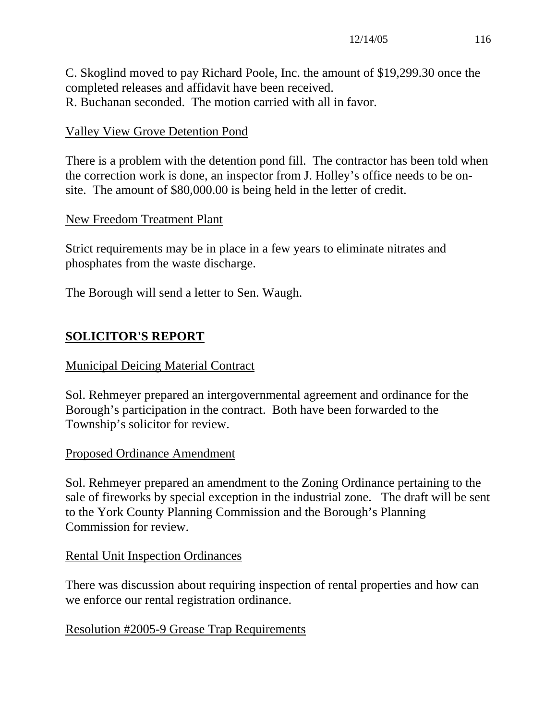C. Skoglind moved to pay Richard Poole, Inc. the amount of \$19,299.30 once the completed releases and affidavit have been received. R. Buchanan seconded. The motion carried with all in favor.

## Valley View Grove Detention Pond

There is a problem with the detention pond fill. The contractor has been told when the correction work is done, an inspector from J. Holley's office needs to be onsite. The amount of \$80,000.00 is being held in the letter of credit.

#### New Freedom Treatment Plant

Strict requirements may be in place in a few years to eliminate nitrates and phosphates from the waste discharge.

The Borough will send a letter to Sen. Waugh.

# **SOLICITOR'S REPORT**

#### Municipal Deicing Material Contract

Sol. Rehmeyer prepared an intergovernmental agreement and ordinance for the Borough's participation in the contract. Both have been forwarded to the Township's solicitor for review.

#### Proposed Ordinance Amendment

Sol. Rehmeyer prepared an amendment to the Zoning Ordinance pertaining to the sale of fireworks by special exception in the industrial zone. The draft will be sent to the York County Planning Commission and the Borough's Planning Commission for review.

#### Rental Unit Inspection Ordinances

There was discussion about requiring inspection of rental properties and how can we enforce our rental registration ordinance.

#### Resolution #2005-9 Grease Trap Requirements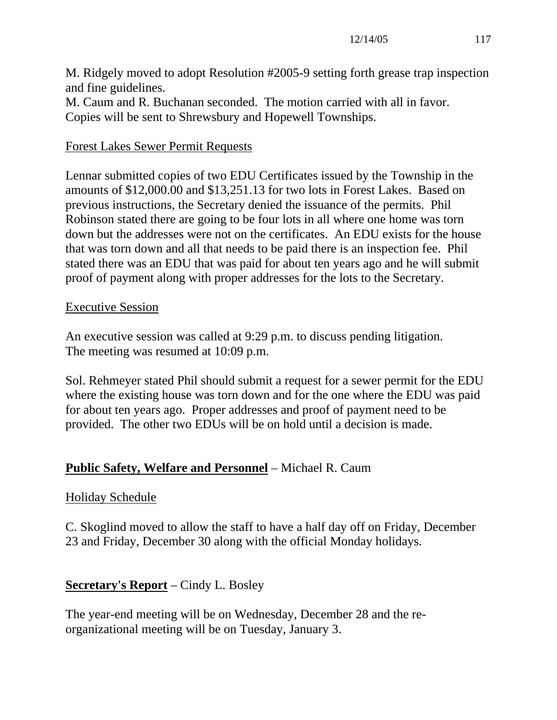M. Ridgely moved to adopt Resolution #2005-9 setting forth grease trap inspection and fine guidelines.

M. Caum and R. Buchanan seconded. The motion carried with all in favor. Copies will be sent to Shrewsbury and Hopewell Townships.

# Forest Lakes Sewer Permit Requests

Lennar submitted copies of two EDU Certificates issued by the Township in the amounts of \$12,000.00 and \$13,251.13 for two lots in Forest Lakes. Based on previous instructions, the Secretary denied the issuance of the permits. Phil Robinson stated there are going to be four lots in all where one home was torn down but the addresses were not on the certificates. An EDU exists for the house that was torn down and all that needs to be paid there is an inspection fee. Phil stated there was an EDU that was paid for about ten years ago and he will submit proof of payment along with proper addresses for the lots to the Secretary.

## Executive Session

An executive session was called at 9:29 p.m. to discuss pending litigation. The meeting was resumed at 10:09 p.m.

Sol. Rehmeyer stated Phil should submit a request for a sewer permit for the EDU where the existing house was torn down and for the one where the EDU was paid for about ten years ago. Proper addresses and proof of payment need to be provided. The other two EDUs will be on hold until a decision is made.

# **Public Safety, Welfare and Personnel** – Michael R. Caum

# Holiday Schedule

C. Skoglind moved to allow the staff to have a half day off on Friday, December 23 and Friday, December 30 along with the official Monday holidays.

# **Secretary's Report** – Cindy L. Bosley

The year-end meeting will be on Wednesday, December 28 and the reorganizational meeting will be on Tuesday, January 3.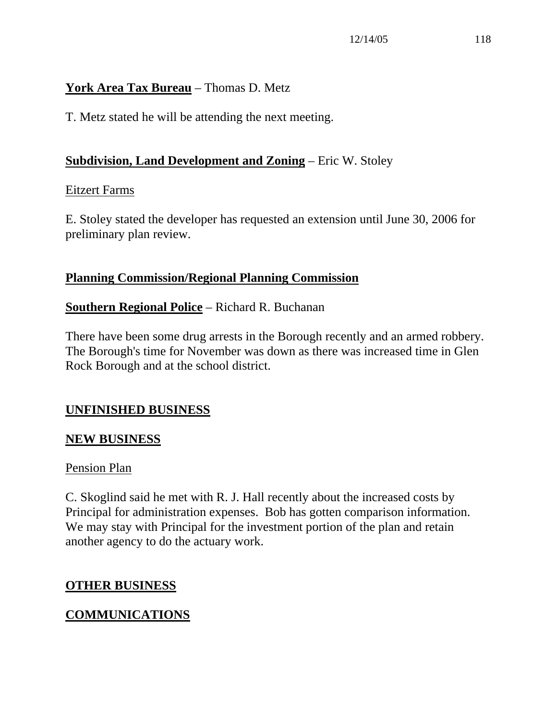## **York Area Tax Bureau** – Thomas D. Metz

T. Metz stated he will be attending the next meeting.

## **Subdivision, Land Development and Zoning** – Eric W. Stoley

## Eitzert Farms

E. Stoley stated the developer has requested an extension until June 30, 2006 for preliminary plan review.

## **Planning Commission/Regional Planning Commission**

## **Southern Regional Police** – Richard R. Buchanan

There have been some drug arrests in the Borough recently and an armed robbery. The Borough's time for November was down as there was increased time in Glen Rock Borough and at the school district.

# **UNFINISHED BUSINESS**

## **NEW BUSINESS**

## Pension Plan

C. Skoglind said he met with R. J. Hall recently about the increased costs by Principal for administration expenses. Bob has gotten comparison information. We may stay with Principal for the investment portion of the plan and retain another agency to do the actuary work.

## **OTHER BUSINESS**

# **COMMUNICATIONS**